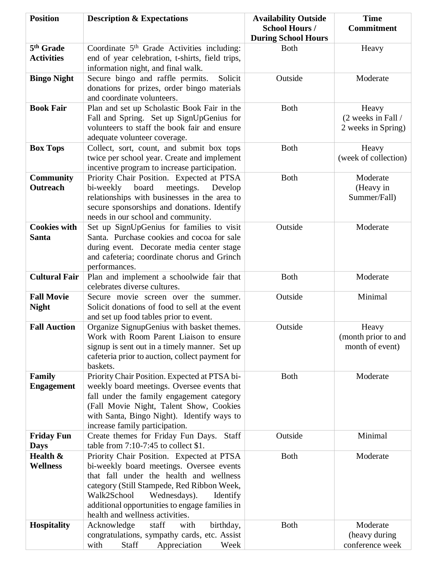| <b>Position</b>       | <b>Description &amp; Expectations</b>                                                       | <b>Availability Outside</b> | <b>Time</b>          |
|-----------------------|---------------------------------------------------------------------------------------------|-----------------------------|----------------------|
|                       |                                                                                             | <b>School Hours /</b>       | <b>Commitment</b>    |
|                       |                                                                                             | <b>During School Hours</b>  |                      |
| 5 <sup>th</sup> Grade | Coordinate 5 <sup>th</sup> Grade Activities including:                                      | <b>Both</b>                 | Heavy                |
| <b>Activities</b>     | end of year celebration, t-shirts, field trips,                                             |                             |                      |
|                       | information night, and final walk.                                                          |                             |                      |
| <b>Bingo Night</b>    | Secure bingo and raffle permits.<br>Solicit                                                 | Outside                     | Moderate             |
|                       | donations for prizes, order bingo materials                                                 |                             |                      |
|                       | and coordinate volunteers.                                                                  |                             |                      |
| <b>Book Fair</b>      | Plan and set up Scholastic Book Fair in the                                                 | <b>Both</b>                 | Heavy                |
|                       | Fall and Spring. Set up SignUpGenius for                                                    |                             | (2 weeks in Fall /   |
|                       | volunteers to staff the book fair and ensure                                                |                             | 2 weeks in Spring)   |
|                       | adequate volunteer coverage.                                                                |                             |                      |
| <b>Box Tops</b>       | Collect, sort, count, and submit box tops                                                   | <b>Both</b>                 | Heavy                |
|                       | twice per school year. Create and implement                                                 |                             | (week of collection) |
|                       | incentive program to increase participation.                                                |                             |                      |
| <b>Community</b>      | Priority Chair Position. Expected at PTSA                                                   | <b>Both</b>                 | Moderate             |
| Outreach              | bi-weekly<br>meetings.<br>board<br>Develop                                                  |                             | (Heavy in            |
|                       | relationships with businesses in the area to<br>secure sponsorships and donations. Identify |                             | Summer/Fall)         |
|                       | needs in our school and community.                                                          |                             |                      |
| <b>Cookies with</b>   | Set up SignUpGenius for families to visit                                                   | Outside                     | Moderate             |
| <b>Santa</b>          | Santa. Purchase cookies and cocoa for sale                                                  |                             |                      |
|                       | during event. Decorate media center stage                                                   |                             |                      |
|                       | and cafeteria; coordinate chorus and Grinch                                                 |                             |                      |
|                       | performances.                                                                               |                             |                      |
| <b>Cultural Fair</b>  | Plan and implement a schoolwide fair that                                                   | <b>Both</b>                 | Moderate             |
|                       | celebrates diverse cultures.                                                                |                             |                      |
| <b>Fall Movie</b>     | Secure movie screen over the summer.                                                        | Outside                     | Minimal              |
| <b>Night</b>          | Solicit donations of food to sell at the event                                              |                             |                      |
|                       | and set up food tables prior to event.                                                      |                             |                      |
| <b>Fall Auction</b>   | Organize SignupGenius with basket themes.                                                   | Outside                     | Heavy                |
|                       | Work with Room Parent Liaison to ensure                                                     |                             | (month prior to and  |
|                       | signup is sent out in a timely manner. Set up                                               |                             | month of event)      |
|                       | cafeteria prior to auction, collect payment for                                             |                             |                      |
|                       | baskets.                                                                                    |                             |                      |
| <b>Family</b>         | Priority Chair Position. Expected at PTSA bi-                                               | <b>Both</b>                 | Moderate             |
| <b>Engagement</b>     | weekly board meetings. Oversee events that<br>fall under the family engagement category     |                             |                      |
|                       | (Fall Movie Night, Talent Show, Cookies                                                     |                             |                      |
|                       | with Santa, Bingo Night). Identify ways to                                                  |                             |                      |
|                       | increase family participation.                                                              |                             |                      |
| <b>Friday Fun</b>     | Create themes for Friday Fun Days. Staff                                                    | Outside                     | Minimal              |
| <b>Days</b>           | table from $7:10-7:45$ to collect \$1.                                                      |                             |                      |
| Health &              | Priority Chair Position. Expected at PTSA                                                   | <b>Both</b>                 | Moderate             |
| <b>Wellness</b>       | bi-weekly board meetings. Oversee events                                                    |                             |                      |
|                       | that fall under the health and wellness                                                     |                             |                      |
|                       | category (Still Stampede, Red Ribbon Week,                                                  |                             |                      |
|                       | Walk2School<br>Wednesdays).<br>Identify                                                     |                             |                      |
|                       | additional opportunities to engage families in                                              |                             |                      |
|                       | health and wellness activities.                                                             |                             |                      |
| <b>Hospitality</b>    | Acknowledge<br>staff<br>with<br>birthday,                                                   | <b>Both</b>                 | Moderate             |
|                       | congratulations, sympathy cards, etc. Assist                                                |                             | (heavy during        |
|                       | with<br><b>Staff</b><br>Appreciation<br>Week                                                |                             | conference week      |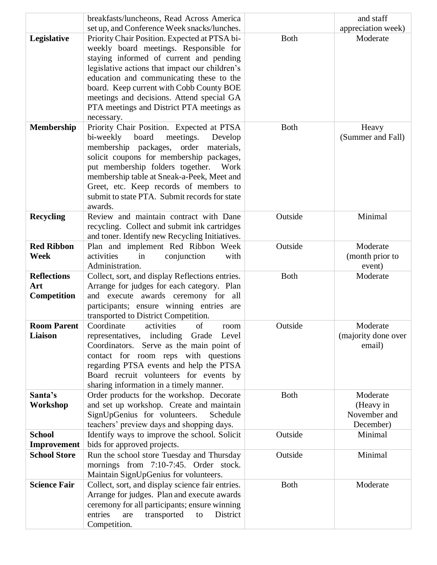|                     | breakfasts/luncheons, Read Across America                                              |              | and staff           |
|---------------------|----------------------------------------------------------------------------------------|--------------|---------------------|
|                     | set up, and Conference Week snacks/lunches.                                            |              | appreciation week)  |
| Legislative         | Priority Chair Position. Expected at PTSA bi-                                          | <b>Both</b>  | Moderate            |
|                     | weekly board meetings. Responsible for                                                 |              |                     |
|                     | staying informed of current and pending                                                |              |                     |
|                     | legislative actions that impact our children's                                         |              |                     |
|                     | education and communicating these to the                                               |              |                     |
|                     | board. Keep current with Cobb County BOE                                               |              |                     |
|                     | meetings and decisions. Attend special GA                                              |              |                     |
|                     | PTA meetings and District PTA meetings as                                              |              |                     |
|                     | necessary.                                                                             |              |                     |
| <b>Membership</b>   | Priority Chair Position. Expected at PTSA                                              | <b>B</b> oth | Heavy               |
|                     | board<br>bi-weekly<br>meetings.<br>Develop                                             |              | (Summer and Fall)   |
|                     | membership packages, order materials,                                                  |              |                     |
|                     | solicit coupons for membership packages,                                               |              |                     |
|                     | put membership folders together.<br>Work<br>membership table at Sneak-a-Peek, Meet and |              |                     |
|                     | Greet, etc. Keep records of members to                                                 |              |                     |
|                     | submit to state PTA. Submit records for state                                          |              |                     |
|                     | awards.                                                                                |              |                     |
| <b>Recycling</b>    | Review and maintain contract with Dane                                                 | Outside      | Minimal             |
|                     | recycling. Collect and submit ink cartridges                                           |              |                     |
|                     | and toner. Identify new Recycling Initiatives.                                         |              |                     |
| <b>Red Ribbon</b>   | Plan and implement Red Ribbon Week                                                     | Outside      | Moderate            |
| Week                | activities<br>in<br>conjunction<br>with                                                |              | (month prior to     |
|                     | Administration.                                                                        |              | event)              |
| <b>Reflections</b>  | Collect, sort, and display Reflections entries.                                        | <b>Both</b>  | Moderate            |
| Art                 | Arrange for judges for each category. Plan                                             |              |                     |
| Competition         | and execute awards ceremony for all                                                    |              |                     |
|                     | participants; ensure winning entries are                                               |              |                     |
|                     | transported to District Competition.                                                   |              |                     |
| <b>Room Parent</b>  | Coordinate<br>activities<br>of<br>room                                                 | Outside      | Moderate            |
| Liaison             | representatives, including Grade Level                                                 |              | (majority done over |
|                     | Coordinators. Serve as the main point of                                               |              | email)              |
|                     | contact for room reps with questions                                                   |              |                     |
|                     | regarding PTSA events and help the PTSA<br>Board recruit volunteers for events by      |              |                     |
|                     | sharing information in a timely manner.                                                |              |                     |
| Santa's             | Order products for the workshop. Decorate                                              | <b>Both</b>  | Moderate            |
| Workshop            | and set up workshop. Create and maintain                                               |              | (Heavy in           |
|                     | SignUpGenius for volunteers.<br>Schedule                                               |              | November and        |
|                     | teachers' preview days and shopping days.                                              |              | December)           |
| <b>School</b>       | Identify ways to improve the school. Solicit                                           | Outside      | Minimal             |
| Improvement         | bids for approved projects.                                                            |              |                     |
| <b>School Store</b> | Run the school store Tuesday and Thursday                                              | Outside      | Minimal             |
|                     | mornings from 7:10-7:45. Order stock.                                                  |              |                     |
|                     | Maintain SignUpGenius for volunteers.                                                  |              |                     |
| <b>Science Fair</b> | Collect, sort, and display science fair entries.                                       | <b>Both</b>  | Moderate            |
|                     | Arrange for judges. Plan and execute awards                                            |              |                     |
|                     | ceremony for all participants; ensure winning                                          |              |                     |
|                     | entries<br>transported<br>District<br>are<br>to                                        |              |                     |
|                     | Competition.                                                                           |              |                     |